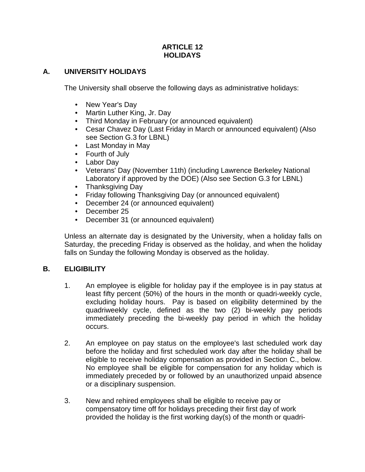#### **ARTICLE 12 HOLIDAYS**

## **A. UNIVERSITY HOLIDAYS**

The University shall observe the following days as administrative holidays:

- New Year's Day
- Martin Luther King, Jr. Day
- Third Monday in February (or announced equivalent)
- Cesar Chavez Day (Last Friday in March or announced equivalent) (Also see Section G.3 for LBNL)
- Last Monday in May
- Fourth of July
- Labor Day
- Veterans' Day (November 11th) (including Lawrence Berkeley National Laboratory if approved by the DOE) (Also see Section G.3 for LBNL)
- Thanksgiving Day
- Friday following Thanksgiving Day (or announced equivalent)
- December 24 (or announced equivalent)
- December 25
- December 31 (or announced equivalent)

Unless an alternate day is designated by the University, when a holiday falls on Saturday, the preceding Friday is observed as the holiday, and when the holiday falls on Sunday the following Monday is observed as the holiday.

## **B. ELIGIBILITY**

- 1. An employee is eligible for holiday pay if the employee is in pay status at least fifty percent (50%) of the hours in the month or quadri-weekly cycle, excluding holiday hours. Pay is based on eligibility determined by the quadriweekly cycle, defined as the two (2) bi-weekly pay periods immediately preceding the bi-weekly pay period in which the holiday occurs.
- 2. An employee on pay status on the employee's last scheduled work day before the holiday and first scheduled work day after the holiday shall be eligible to receive holiday compensation as provided in Section C., below. No employee shall be eligible for compensation for any holiday which is immediately preceded by or followed by an unauthorized unpaid absence or a disciplinary suspension.
- 3. New and rehired employees shall be eligible to receive pay or compensatory time off for holidays preceding their first day of work provided the holiday is the first working day(s) of the month or quadri-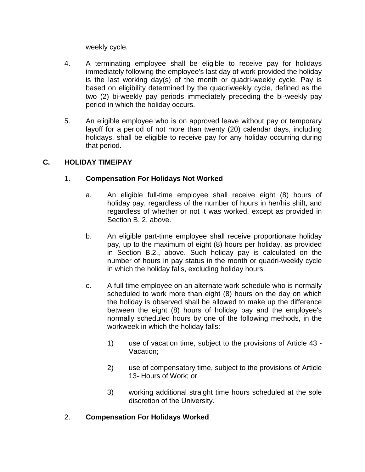weekly cycle.

- 4. A terminating employee shall be eligible to receive pay for holidays immediately following the employee's last day of work provided the holiday is the last working day(s) of the month or quadri-weekly cycle. Pay is based on eligibility determined by the quadriweekly cycle, defined as the two (2) bi-weekly pay periods immediately preceding the bi-weekly pay period in which the holiday occurs.
- 5. An eligible employee who is on approved leave without pay or temporary layoff for a period of not more than twenty (20) calendar days, including holidays, shall be eligible to receive pay for any holiday occurring during that period.

## **C. HOLIDAY TIME/PAY**

## 1. **Compensation For Holidays Not Worked**

- a. An eligible full-time employee shall receive eight (8) hours of holiday pay, regardless of the number of hours in her/his shift, and regardless of whether or not it was worked, except as provided in Section B. 2. above.
- b. An eligible part-time employee shall receive proportionate holiday pay, up to the maximum of eight (8) hours per holiday, as provided in Section B.2., above. Such holiday pay is calculated on the number of hours in pay status in the month or quadri-weekly cycle in which the holiday falls, excluding holiday hours.
- c. A full time employee on an alternate work schedule who is normally scheduled to work more than eight (8) hours on the day on which the holiday is observed shall be allowed to make up the difference between the eight (8) hours of holiday pay and the employee's normally scheduled hours by one of the following methods, in the workweek in which the holiday falls:
	- 1) use of vacation time, subject to the provisions of Article 43 Vacation;
	- 2) use of compensatory time, subject to the provisions of Article 13- Hours of Work; or
	- 3) working additional straight time hours scheduled at the sole discretion of the University.

## 2. **Compensation For Holidays Worked**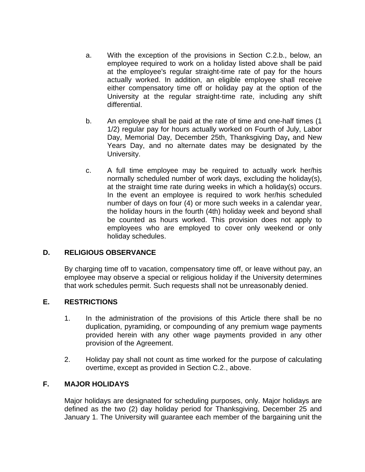- a. With the exception of the provisions in Section C.2.b., below, an employee required to work on a holiday listed above shall be paid at the employee's regular straight-time rate of pay for the hours actually worked. In addition, an eligible employee shall receive either compensatory time off or holiday pay at the option of the University at the regular straight-time rate, including any shift differential.
- b. An employee shall be paid at the rate of time and one-half times (1 1/2) regular pay for hours actually worked on Fourth of July, Labor Day, Memorial Day, December 25th, Thanksgiving Day**,** and New Years Day, and no alternate dates may be designated by the University.
- c. A full time employee may be required to actually work her/his normally scheduled number of work days, excluding the holiday(s), at the straight time rate during weeks in which a holiday(s) occurs. In the event an employee is required to work her/his scheduled number of days on four (4) or more such weeks in a calendar year, the holiday hours in the fourth (4th) holiday week and beyond shall be counted as hours worked. This provision does not apply to employees who are employed to cover only weekend or only holiday schedules.

#### **D. RELIGIOUS OBSERVANCE**

By charging time off to vacation, compensatory time off, or leave without pay, an employee may observe a special or religious holiday if the University determines that work schedules permit. Such requests shall not be unreasonably denied.

#### **E. RESTRICTIONS**

- 1. In the administration of the provisions of this Article there shall be no duplication, pyramiding, or compounding of any premium wage payments provided herein with any other wage payments provided in any other provision of the Agreement.
- 2. Holiday pay shall not count as time worked for the purpose of calculating overtime, except as provided in Section C.2., above.

# **F. MAJOR HOLIDAYS**

Major holidays are designated for scheduling purposes, only. Major holidays are defined as the two (2) day holiday period for Thanksgiving, December 25 and January 1. The University will guarantee each member of the bargaining unit the